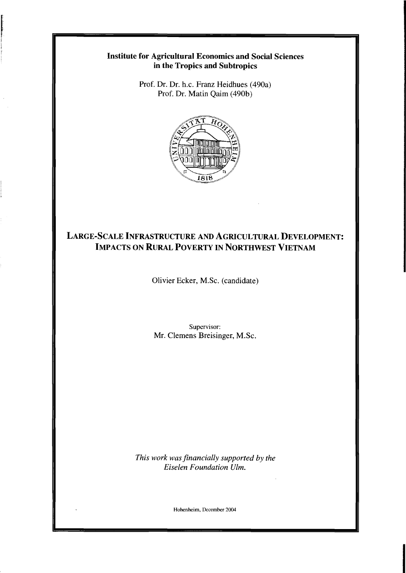## **Institute for Agricultural Economics and Social Sciences in the Tropics and Subtropics**

Prof. Dr. Dr. h.c. Franz Heidhues (490a) Prof. Dr. Matin Qaim (490b)



## **LARGE-SCALE INFRASTRUCTURE AND AGRICULTURAL DEVELOPMENT: IMPACTS ON RURAL POVERTY IN NORTHWEST VIETNAM**

Olivier Ecker, M.Sc. (candidate)

Supervisor: Mr. Clemens Breisinger, M.Sc.

*This work was financially supported by the Eiselen Foundation Ulm.* 

Hohenheim, December 2004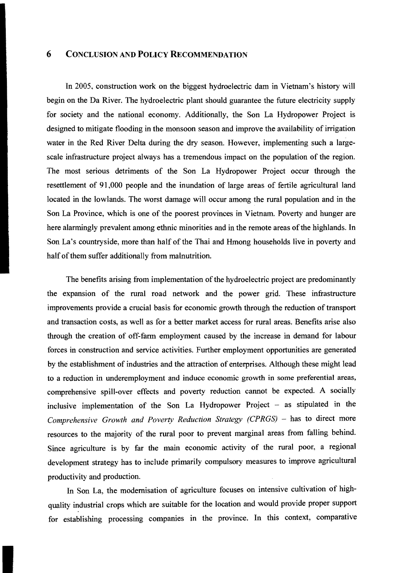## 6 CONCLUSION AND POLICY RECOMMENDATION

In 2005, construction work on the biggest hydroelectric dam in Vietnam's history will begin on the Da River. The hydroelectric plant should guarantee the future electricity supply for society and the national economy. Additionally, the Son La Hydropower Project is designed to mitigate flooding in the monsoon season and improve the availability of irrigation water in the Red River Delta during the dry season. However, implementing such a largescale infrastructure project always has a tremendous impact on the population of the region. The most serious detriments of the Son La Hydropower Project occur through the resettlement of 91,000 people and the inundation of large areas of fertile agricultural land located in the lowlands. The worst damage will occur among the rural population and in the Son La Province, which is one of the poorest provinces in Vietnam. Poverty and hunger are here alarmingly prevalent among ethnic minorities and in the remote areas of the highlands. In Son La's countryside, more than half of the Thai and Hmong households live in poverty and half of them suffer additionally from malnutrition.

The benefits arising from implementation of the hydroelectric project are predominantly the expansion of the rural road network and the power grid. These infrastructure improvements provide a crucial basis for economic growth through the reduction of transport and transaction costs, as well as for a better market access for rural areas. Benefits arise also through the creation of off-farm employment caused by the increase in demand for labour forces in construction and service activities. Further employment opportunities are generated by the establishment of industries and the attraction of enterprises. Although these might lead to a reduction in underemployment and induce economic growth in some preferential areas, comprehensive spill-over effects and poverty reduction cannot be expected. A socially inclusive implementation of the Son La Hydropower Project  $-$  as stipulated in the Comprehensive Growth and Poverty Reduction Strategy (CPRGS) - has to direct more resources to the majority of the rural poor to prevent marginal areas from falling behind. Since agriculture is by far the main economic activity of the rural poor, a regional development strategy has to include primarily compulsory measures to improve agricultural productivity and production.

In Son La, the modernisation of agriculture focuses on intensive cultivation of highquality industrial crops which are suitable for the loeation and would provide proper support for establishing processing companies in the province. In this context, comparative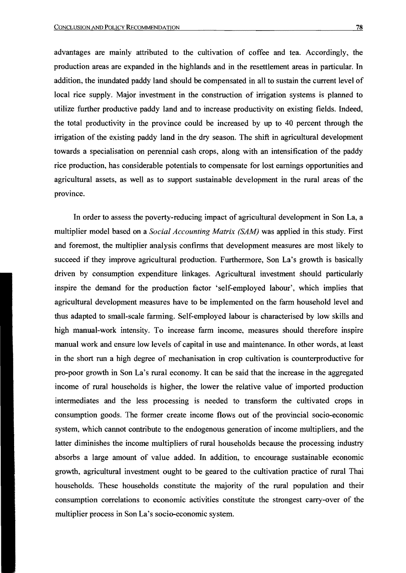advantages are mainly attributed to the cultivation of coffee and tea. Accordingly, the production areas are expanded in the highlands and in the resettlement areas in particular. In addition, the inundated paddy land should be compensated in all to sustain the current level of local rice supply. Major investment in the construction of irrigation systems is planned to utilize further productive paddy land and to increase productivity on existing fields. Indeed, the total productivity in the province could be increased by up to 40 percent through the irrigation of the existing paddy land in the dry season. The shift in agricultural development towards a specialisation on perennial cash crops, along with an intensification of the paddy rice production, has considerable potentials to compensate for lost eamings opportunities and agricultural assets, as weIl as to support sustainable development in the rural areas of the province.

In order to assess the poverty-reducing impact of agricultural development in Son La, a multiplier model based on a *Social Accounting Matrix (SAM)* was applied in this study. First and foremost, the multiplier analysis confirms that development measures are most likely to succeed if they improve agricultural production. Furtherrnore, Son La's growth is basically driven by consumption expenditure linkages. Agricultural investment should particularly inspire the demand for the production factor 'self-employed labour', which implies that agricultural development measures have to be implemented on the farm household level and thus adapted to small-scale farrning. Self-employed labour is characterised by low skills and high manual-work intensity. To increase farm income, measures should therefore inspire manual work and ensure low levels of capital in use and maintenance. In other words, at least in the short run a high degree of mechanisation in crop cultivation is counterproductive for pro-poor growth in Son La's rural economy. It can be said that the increase in the aggregated income of rural households is higher, the lower the relative value of imported production intermediates and the less processing is needed to transforrn the cultivated crops in consumption goods. The former create income flows out of the provincial socio-economic system, which cannot contribute to the endogenous generation of income multipliers, and the latter diminishes the income multipliers of rural households because the processing industry absorbs a large amount of value added. In addition, to encourage sustainable economic growth, agricultural investment ought to be geared to the cultivation practice of rural Thai households. These households constitute the majority of the rural population and their consumption correlations to economic activities constitute the strongest carry-over of the multiplier process in Son La's socio-economic system.